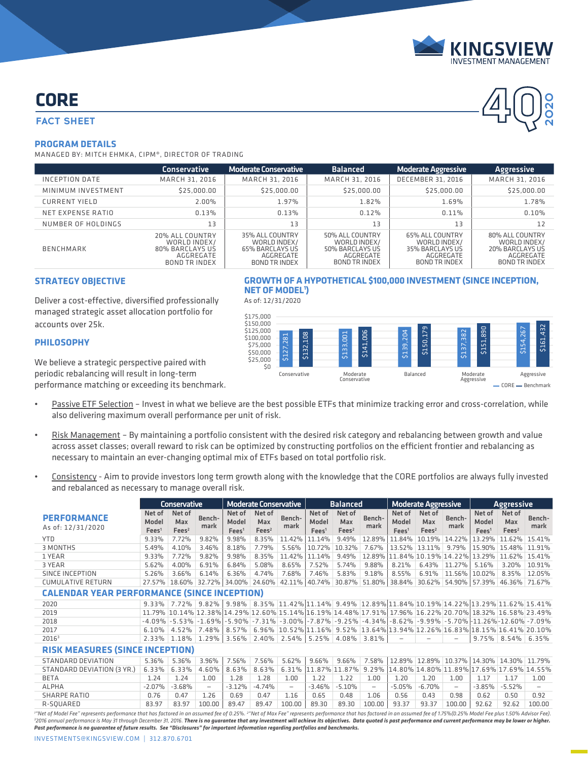

**4Q**

**2020**

# **CORE**

## **FACT SHEET**

#### **PROGRAM DETAILS**

MANAGED BY: MITCH EHMKA, CIPM®, DIRECTOR OF TRADING

|                      | <b>Conservative</b>                                                                     | <b>Moderate Conservative</b>                                                                   | <b>Balanced</b>                                                                         | <b>Moderate Aggressive</b>                                                              | <b>Aggressive</b>                                                                |
|----------------------|-----------------------------------------------------------------------------------------|------------------------------------------------------------------------------------------------|-----------------------------------------------------------------------------------------|-----------------------------------------------------------------------------------------|----------------------------------------------------------------------------------|
| INCEPTION DATE       | MARCH 31, 2016                                                                          | MARCH 31, 2016                                                                                 | MARCH 31, 2016                                                                          | <b>DECEMBER 31, 2016</b>                                                                | MARCH 31, 2016                                                                   |
| MINIMUM INVESTMENT   | \$25,000.00                                                                             | \$25,000.00                                                                                    | \$25,000.00                                                                             | \$25,000.00                                                                             | \$25,000.00                                                                      |
| <b>CURRENT YIELD</b> | 2.00%                                                                                   | 1.97%                                                                                          | 1.82%                                                                                   | 1.69%                                                                                   | 1.78%                                                                            |
| NET EXPENSE RATIO    | 0.13%                                                                                   | 0.13%                                                                                          | 0.12%                                                                                   | 0.11%                                                                                   | 0.10%                                                                            |
| NUMBER OF HOLDINGS   | 13                                                                                      | 13                                                                                             | 13                                                                                      | 13                                                                                      | 12                                                                               |
| <b>BENCHMARK</b>     | 20% ALL COUNTRY<br>WORLD INDEX/<br>80% BARCLAYS US<br>AGGREGATE<br><b>BOND TR INDEX</b> | 35% ALL COUNTRY<br>WORLD INDEX/<br><b>65% BARCLAYS US</b><br>AGGREGATE<br><b>BOND TR INDEX</b> | 50% ALL COUNTRY<br>WORLD INDEX/<br>50% BARCLAYS US<br>AGGREGATE<br><b>BOND TR INDEX</b> | 65% ALL COUNTRY<br>WORLD INDEX/<br>35% BARCLAYS US<br>AGGREGATE<br><b>BOND TR INDEX</b> | 80% ALL COUNTRY<br>WORLD INDEX/<br>20% BARCLAYS US<br>AGGREGATE<br>BOND TR INDEX |

### **STRATEGY OBJECTIVE**

Deliver a cost-effective, diversified professionally managed strategic asset allocation portfolio for accounts over 25k.

#### **PHILOSOPHY**

We believe a strategic perspective paired with periodic rebalancing will result in long-term performance matching or exceeding its benchmark.

- Passive ETF Selection Invest in what we believe are the best possible ETFs that minimize tracking error and cross-correlation, while also delivering maximum overall performance per unit of risk.
- Risk Management By maintaining a portfolio consistent with the desired risk category and rebalancing between growth and value across asset classes; overall reward to risk can be optimized by constructing portfolios on the efficient frontier and rebalancing as necessary to maintain an ever-changing optimal mix of ETFs based on total portfolio risk.
- Consistency Aim to provide investors long term growth along with the knowledge that the CORE portfolios are always fully invested and rebalanced as necessary to manage overall risk.

|                                         |                                                    | <b>Conservative</b>                |                          |                                      | <b>Moderate Conservative</b>       |                          |                                                             | <b>Balanced</b>                    |                   |                                      | <b>Moderate Aggressive</b>         |                                                                                                                      |                                      | <b>Aggressive</b>                  |                          |
|-----------------------------------------|----------------------------------------------------|------------------------------------|--------------------------|--------------------------------------|------------------------------------|--------------------------|-------------------------------------------------------------|------------------------------------|-------------------|--------------------------------------|------------------------------------|----------------------------------------------------------------------------------------------------------------------|--------------------------------------|------------------------------------|--------------------------|
| <b>PERFORMANCE</b><br>As of: 12/31/2020 | Net of<br>Model<br>Fees <sup>1</sup>               | Net of<br>Max<br>Fees <sup>2</sup> | Bench-<br>mark           | Net of<br>Model<br>Fees <sup>1</sup> | Net of<br>Max<br>Fees <sup>2</sup> | Bench-<br>mark           | Net of<br>Model<br>Fees <sup>1</sup>                        | Net of<br>Max<br>Fees <sup>2</sup> | Bench-<br>mark    | Net of<br>Model<br>Fees <sup>1</sup> | Net of<br>Max<br>Fees <sup>2</sup> | Bench-<br>mark                                                                                                       | Net of<br>Model<br>Fees <sup>1</sup> | Net of<br>Max<br>Fees <sup>2</sup> | Bench-<br>mark           |
| <b>YTD</b>                              | 9.33%                                              | 7.72%                              | 9.82%                    | 9.98%                                | 8.35%                              | 11.42%                   | 11.14%                                                      | 9.49%                              | 12.89%            | 11.84%                               | 10.19%                             | 14.22%                                                                                                               | 13.29%                               | 11.62% 15.41%                      |                          |
| <b>3 MONTHS</b>                         | 5.49%                                              | 4.10%                              | 3.46%                    | 8.18%                                | 7.79%                              | 5.56%                    | 10.72%                                                      | 10.32%                             | 7.67%             | 13.52%                               | 13.11%                             | 9.79%                                                                                                                | 15.90%                               | 15.48%                             | 11.91%                   |
| 1 YEAR                                  | 9.33%                                              | 7.72%                              | 9.82%                    | 9.98%                                | 8.35%                              | 11.42%                   | 11.14%                                                      | 9.49%                              | 12.89%            |                                      |                                    | 11.84% 10.19% 14.22%                                                                                                 | 13.29%                               | 11.62%                             | 15.41%                   |
| 3 YEAR                                  | 5.62%                                              | 4.00%                              | 6.91%                    | 6.84%                                | 5.08%                              | 8.65%                    | 7.52%                                                       | 5.74%                              | 9.88%             | 8.21%                                | 6.43%                              | 11.27%                                                                                                               | 5.16%                                | 3.20%                              | 10.91%                   |
| <b>SINCE INCEPTION</b>                  | 5.26%                                              | 3.66%                              | 6.14%                    | 6.36%                                | 4.74%                              | 7.68%                    | 7.46%                                                       | 5.83%                              | 9.18%             | 8.55%                                | 6.91%                              | 11.56% 10.02%                                                                                                        |                                      | 8.35%                              | 12.05%                   |
| <b>CUMULATIVE RETURN</b>                | 27.57%                                             |                                    | 18.60% 32.72% 34.00%     |                                      |                                    |                          | 24.60% 42.11% 40.74% 30.87% 51.80% 38.84%                   |                                    |                   |                                      | 30.62%                             |                                                                                                                      |                                      | 54.90% 57.39% 46.36% 71.67%        |                          |
|                                         | <b>CALENDAR YEAR PERFORMANCE (SINCE INCEPTION)</b> |                                    |                          |                                      |                                    |                          |                                                             |                                    |                   |                                      |                                    |                                                                                                                      |                                      |                                    |                          |
| 2020                                    | $9.33\%$                                           |                                    | $7.72\%$ 9.82%           |                                      |                                    |                          |                                                             |                                    |                   |                                      |                                    | $9.98\%$ $8.35\%$ $11.42\%$ $11.14\%$ $9.49\%$ $12.89\%$ $11.84\%$ $10.19\%$ $14.22\%$ $13.29\%$ $11.62\%$ $15.41\%$ |                                      |                                    |                          |
| 2019                                    |                                                    |                                    |                          |                                      |                                    |                          |                                                             |                                    |                   |                                      |                                    | 11.79% 10.14% 12.38% 14.29% 12.60% 15.14% 16.19% 14.48% 17.91% 17.96% 16.22% 20.70% 18.32% 16.58% 23.49%             |                                      |                                    |                          |
| 2018                                    | $-4.09%$                                           |                                    | $-5.53\% -1.69\%$        |                                      |                                    |                          | $-5.90\%$ $-7.31\%$ $-3.00\%$ $-7.87\%$ $-9.25\%$ $-4.34\%$ |                                    |                   |                                      |                                    | $-8.62\%$ $-9.99\%$ $-5.70\%$ $-11.26\%$ $-12.60\%$ $-7.09\%$                                                        |                                      |                                    |                          |
| 2017                                    | 6.10%                                              | 4.52%                              | 7.48%                    | 8.57%                                |                                    |                          |                                                             |                                    |                   |                                      |                                    | 6.96% 10.52% 11.16% 9.52% 13.64% 13.94% 12.26% 16.83% 18.15% 16.41% 20.10%                                           |                                      |                                    |                          |
| 20163                                   | 2.33%                                              | 1.18%                              | 1.29%                    | 3.56%                                |                                    | $2.40\%$ 2.54%           |                                                             | $5.25\%$ 4.08% 3.81%               |                   | $\qquad \qquad -$                    |                                    | $\overline{\phantom{0}}$                                                                                             |                                      | $9.75\%$ 8.54% 6.35%               |                          |
| <b>RISK MEASURES (SINCE INCEPTION)</b>  |                                                    |                                    |                          |                                      |                                    |                          |                                                             |                                    |                   |                                      |                                    |                                                                                                                      |                                      |                                    |                          |
| <b>STANDARD DEVIATION</b>               | 5.36%                                              | 5.36%                              | 3.96%                    | 7.56%                                | 7.56%                              | 5.62%                    | 9.66%                                                       | 9.66%                              | 7.58%             |                                      |                                    | 12.89% 12.89% 10.37% 14.30% 14.30% 11.79%                                                                            |                                      |                                    |                          |
| STANDARD DEVIATION (3 YR.)              | 6.33%                                              | 6.33%                              | 4.60%                    | 8.63%                                | 8.63%                              | 6.31%                    |                                                             | 11.87% 11.87%                      | 9.29%             |                                      |                                    | 14.80% 14.80% 11.89% 17.69% 17.69% 14.55%                                                                            |                                      |                                    |                          |
| <b>BETA</b>                             | 1.24                                               | 1.24                               | 1.00                     | 1.28                                 | 1.28                               | 1.00                     | 1.22                                                        | 1.22                               | 1.00              | 1.20                                 | 1.20                               | 1.00                                                                                                                 | 1.17                                 | 1.17                               | 1.00                     |
| <b>ALPHA</b>                            | $-2.07%$                                           | $-3.68%$                           | $\overline{\phantom{a}}$ | $-3.12%$                             | $-4.74%$                           | $\overline{\phantom{a}}$ | $-3.46%$                                                    | $-5.10%$                           | $\qquad \qquad -$ | $-5.05%$                             | $-6.70%$                           | $\overline{\phantom{0}}$                                                                                             | $-3.85%$                             | $-5.52%$                           | $\overline{\phantom{a}}$ |
| <b>SHARPE RATIO</b>                     | 0.76                                               | 0.47                               | 1.26                     | 0.69                                 | 0.47                               | 1.16                     | 0.65                                                        | 0.48                               | 1.06              | 0.56                                 | 0.43                               | 0.98                                                                                                                 | 0.62                                 | 0.50                               | 0.92                     |
| R-SOUARED                               | 83.97                                              | 83.97                              | 100.00                   | 89.47                                | 89.47                              | 100.00                   | 89.30                                                       | 89.30                              | 100.00            | 93.37                                | 93.37                              | 100.00                                                                                                               | 92.62                                | 92.62                              | 100.00                   |

*1 "Net of Model Fee" represents performance that has factored in an assumed fee of 0.25%. 2* ""Net of Model Fee" represents performance that has factored in an assumed fee of 0.25%. <sup>2</sup>"Net of Max Fee" represents performance that has factored in an assumed fee of 1.75%(0.25% Model Fee plus 1.50% Advisor Fee).<br><sup>3</sup>2 *Past performance is no guarantee of future results. See "Disclosures" for important information regarding portfolios and benchmarks.*

INVESTMENTS@KINGSVIEW.COM | 312.870.6701

# **GROWTH OF A HYPOTHETICAL \$100,000 INVESTMENT (SINCE INCEPTION, NET OF MODEL1 )**

As of: 12/31/2020